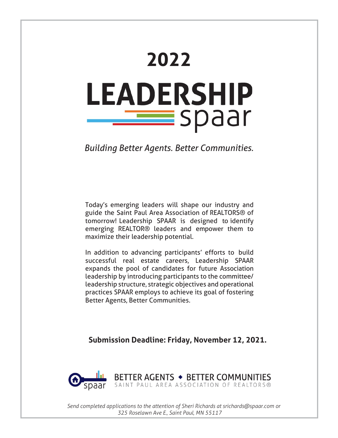# **2022 LEADERSHIP** <u>spaar s</u>

*Building Better Agents. Better Communities.*

Today's emerging leaders will shape our industry and guide the Saint Paul Area Association of REALTORS® of tomorrow! Leadership SPAAR is designed to identify emerging REALTOR® leaders and empower them to maximize their leadership potential.

In addition to advancing participants' efforts to build successful real estate careers, Leadership SPAAR expands the pool of candidates for future Association leadership by introducing participants to the committee/ leadership structure, strategic objectives and operational practices SPAAR employs to achieve its goal of fostering Better Agents, Better Communities.

**Submission Deadline: Friday, November 12, 2021.**



*Send completed applications to the attention of Sheri Richards at srichards@spaar.com or 325 Roselawn Ave E., Saint Paul, MN 55117*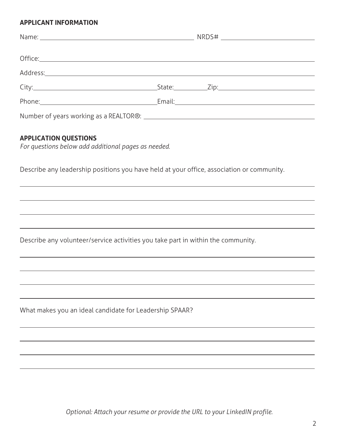# **APPLICANT INFORMATION**

#### **APPLICATION QUESTIONS**

*For questions below add additional pages as needed.*

Describe any leadership positions you have held at your office, association or community.

Describe any volunteer/service activities you take part in within the community.

What makes you an ideal candidate for Leadership SPAAR?

*Optional: Attach your resume or provide the URL to your LinkedIN profile.*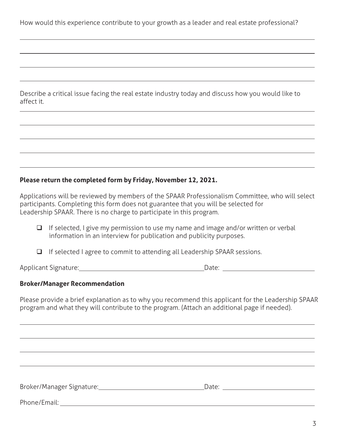How would this experience contribute to your growth as a leader and real estate professional?

Describe a critical issue facing the real estate industry today and discuss how you would like to affect it.

# **Please return the completed form by Friday, November 12, 2021.**

Applications will be reviewed by members of the SPAAR Professionalism Committee, who will select participants. Completing this form does not guarantee that you will be selected for Leadership SPAAR. There is no charge to participate in this program.

- $\Box$  If selected, I give my permission to use my name and image and/or written or verbal information in an interview for publication and publicity purposes.
- $\Box$  If selected I agree to commit to attending all Leadership SPAAR sessions.

Applicant Signature: Date:

## **Broker/Manager Recommendation**

Please provide a brief explanation as to why you recommend this applicant for the Leadership SPAAR program and what they will contribute to the program. (Attach an additional page if needed).

Broker/Manager Signature: Date:

Phone/Email: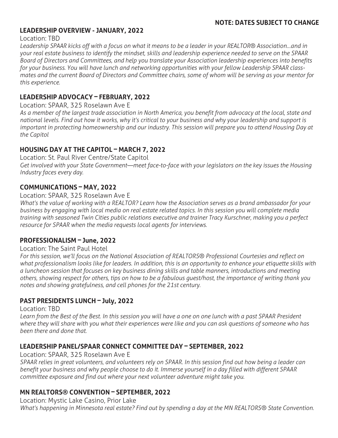# **LEADERSHIP OVERVIEW - JANUARY, 2022**

#### Location: TBD

*Leadership SPAAR kicks off with a focus on what it means to be a leader in your REALTOR® Association…and in your real estate business to identify the mindset, skills and leadership experience needed to serve on the SPAAR Board of Directors and Committees, and help you translate your Association leadership experiences into benefits for your business. You will have lunch and networking opportunities with your fellow Leadership SPAAR classmates and the current Board of Directors and Committee chairs, some of whom will be serving as your mentor for this experience.*

# **LEADERSHIP ADVOCACY – FEBRUARY, 2022**

#### Location: SPAAR, 325 Roselawn Ave E

*As a member of the largest trade association in North America, you benefit from advocacy at the local, state and national levels. Find out how it works, why it's critical to your business and why your leadership and support is important in protecting homeownership and our industry. This session will prepare you to attend Housing Day at the Capitol*

# **HOUSING DAY AT THE CAPITOL – MARCH 7, 2022**

Location: St. Paul River Centre/State Capitol *Get involved with your State Government—meet face-to-face with your legislators on the key issues the Housing Industry faces every day.*

# **COMMUNICATIONS – MAY, 2022**

### Location: SPAAR, 325 Roselawn Ave E

*What's the value of working with a REALTOR? Learn how the Association serves as a brand ambassador for your business by engaging with local media on real estate related topics. In this session you will complete media training with seasoned Twin Cities public relations executive and trainer Tracy Kurschner, making you a perfect resource for SPAAR when the media requests local agents for interviews.*

## **PROFESSIONALISM – June, 2022**

#### Location: The Saint Paul Hotel

*For this session, we'll focus on the National Association of REALTORS® Professional Courtesies and reflect on what professionalism looks like for leaders. In addition, this is an opportunity to enhance your etiquette skills with a luncheon session that focuses on key business dining skills and table manners, introductions and meeting others, showing respect for others, tips on how to be a fabulous guest/host, the importance of writing thank you notes and showing gratefulness, and cell phones for the 21st century.*

## **PAST PRESIDENTS LUNCH – July, 2022**

#### Location: TBD

*Learn from the Best of the Best. In this session you will have a one on one lunch with a past SPAAR President where they will share with you what their experiences were like and you can ask questions of someone who has been there and done that.* 

## **LEADERSHIP PANEL/SPAAR CONNECT COMMITTEE DAY – SEPTEMBER, 2022**

#### Location: SPAAR, 325 Roselawn Ave E

*SPAAR relies in great volunteers, and volunteers rely on SPAAR. In this session find out how being a leader can benefit your business and why people choose to do it. Immerse yourself in a day filled with different SPAAR committee exposure and find out where your next volunteer adventure might take you.* 

## **MN REALTORS® CONVENTION – SEPTEMBER, 2022**

Location: Mystic Lake Casino, Prior Lake

*What's happening in Minnesota real estate? Find out by spending a day at the MN REALTORS® State Convention.*